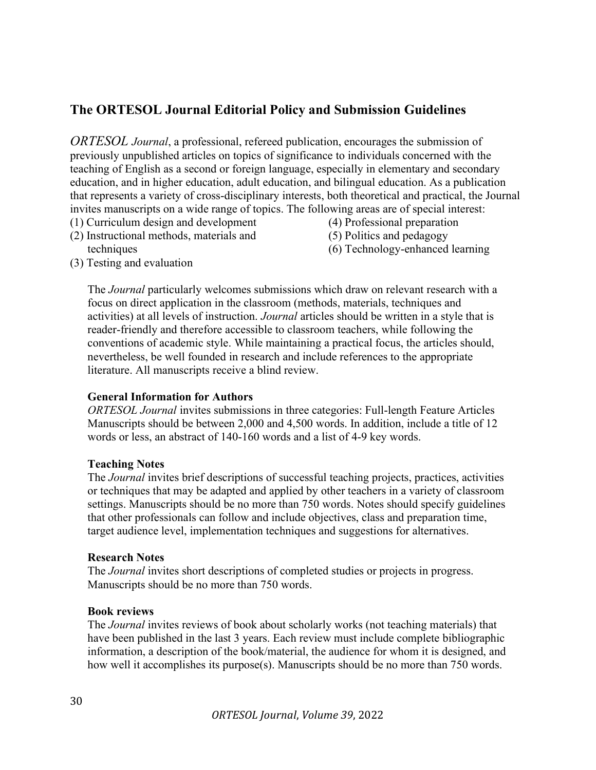# The ORTESOL Journal Editorial Policy and Submission Guidelines

ORTESOL Journal, a professional, refereed publication, encourages the submission of previously unpublished articles on topics of significance to individuals concerned with the teaching of English as a second or foreign language, especially in elementary and secondary education, and in higher education, adult education, and bilingual education. As a publication that represents a variety of cross-disciplinary interests, both theoretical and practical, the Journal invites manuscripts on a wide range of topics. The following areas are of special interest:

- (1) Curriculum design and development (2) Instructional methods, materials and
- (4) Professional preparation
- (5) Politics and pedagogy
- (6) Technology-enhanced learning

(3) Testing and evaluation

techniques

The Journal particularly welcomes submissions which draw on relevant research with a focus on direct application in the classroom (methods, materials, techniques and activities) at all levels of instruction. Journal articles should be written in a style that is reader-friendly and therefore accessible to classroom teachers, while following the conventions of academic style. While maintaining a practical focus, the articles should, nevertheless, be well founded in research and include references to the appropriate literature. All manuscripts receive a blind review.

## General Information for Authors

ORTESOL Journal invites submissions in three categories: Full-length Feature Articles Manuscripts should be between 2,000 and 4,500 words. In addition, include a title of 12 words or less, an abstract of 140-160 words and a list of 4-9 key words.

#### Teaching Notes

The Journal invites brief descriptions of successful teaching projects, practices, activities or techniques that may be adapted and applied by other teachers in a variety of classroom settings. Manuscripts should be no more than 750 words. Notes should specify guidelines that other professionals can follow and include objectives, class and preparation time, target audience level, implementation techniques and suggestions for alternatives.

#### Research Notes

The *Journal* invites short descriptions of completed studies or projects in progress. Manuscripts should be no more than 750 words.

#### Book reviews

The *Journal* invites reviews of book about scholarly works (not teaching materials) that have been published in the last 3 years. Each review must include complete bibliographic information, a description of the book/material, the audience for whom it is designed, and how well it accomplishes its purpose(s). Manuscripts should be no more than 750 words.